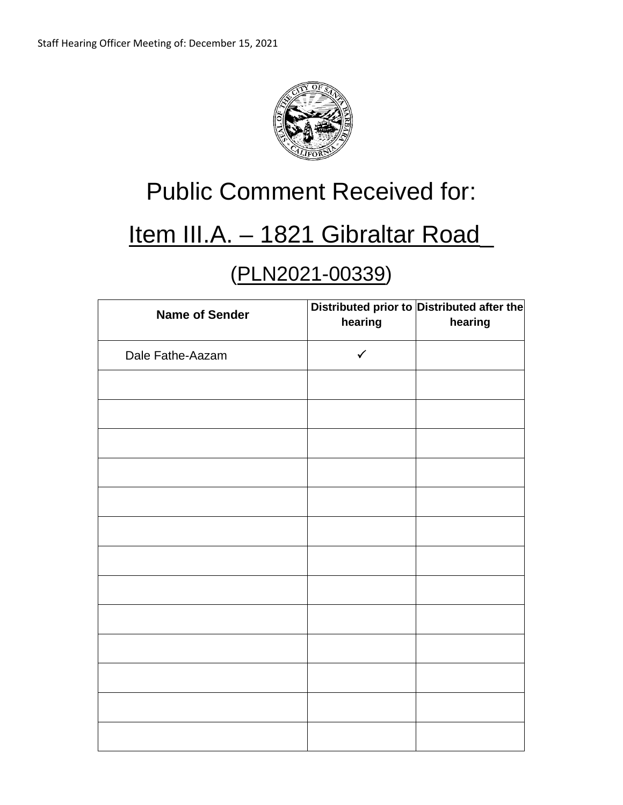

## Public Comment Received for:

## Item III.A. - 1821 Gibraltar Road

## (PLN2021-00339)

| <b>Name of Sender</b> | hearing      | Distributed prior to Distributed after the<br>hearing |
|-----------------------|--------------|-------------------------------------------------------|
| Dale Fathe-Aazam      | $\checkmark$ |                                                       |
|                       |              |                                                       |
|                       |              |                                                       |
|                       |              |                                                       |
|                       |              |                                                       |
|                       |              |                                                       |
|                       |              |                                                       |
|                       |              |                                                       |
|                       |              |                                                       |
|                       |              |                                                       |
|                       |              |                                                       |
|                       |              |                                                       |
|                       |              |                                                       |
|                       |              |                                                       |